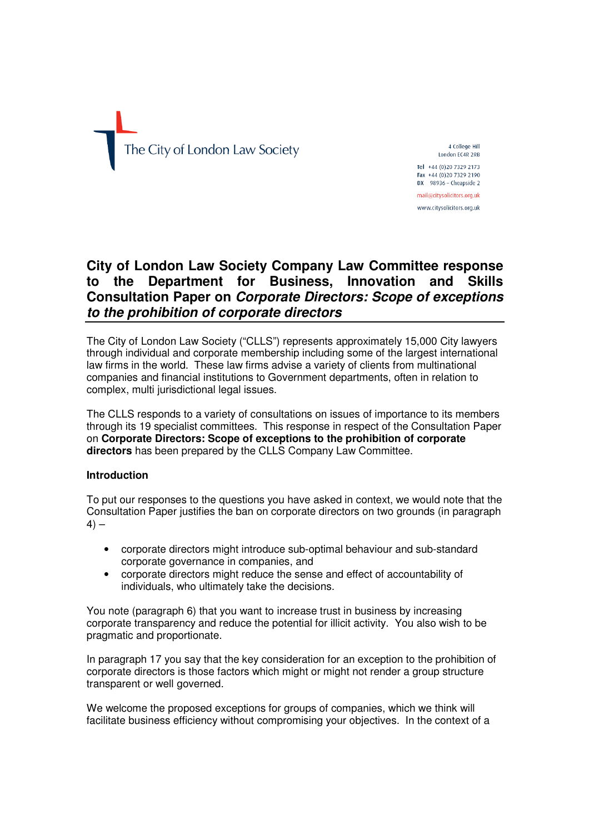

4 College Hill London FC4R 2RB Tel +44 (0)20 7329 2173 Fax +44 (0)20 7329 2190  $DX$  98936 - Cheanside 2 mail@citysolicitors.org.uk

www.citysolicitors.org.uk

# **City of London Law Society Company Law Committee response to the Department for Business, Innovation and Skills Consultation Paper on Corporate Directors: Scope of exceptions to the prohibition of corporate directors**

The City of London Law Society ("CLLS") represents approximately 15,000 City lawyers through individual and corporate membership including some of the largest international law firms in the world. These law firms advise a variety of clients from multinational companies and financial institutions to Government departments, often in relation to complex, multi jurisdictional legal issues.

The CLLS responds to a variety of consultations on issues of importance to its members through its 19 specialist committees. This response in respect of the Consultation Paper on **Corporate Directors: Scope of exceptions to the prohibition of corporate directors** has been prepared by the CLLS Company Law Committee.

# **Introduction**

To put our responses to the questions you have asked in context, we would note that the Consultation Paper justifies the ban on corporate directors on two grounds (in paragraph  $4) -$ 

- corporate directors might introduce sub-optimal behaviour and sub-standard corporate governance in companies, and
- corporate directors might reduce the sense and effect of accountability of individuals, who ultimately take the decisions.

You note (paragraph 6) that you want to increase trust in business by increasing corporate transparency and reduce the potential for illicit activity. You also wish to be pragmatic and proportionate.

In paragraph 17 you say that the key consideration for an exception to the prohibition of corporate directors is those factors which might or might not render a group structure transparent or well governed.

We welcome the proposed exceptions for groups of companies, which we think will facilitate business efficiency without compromising your objectives. In the context of a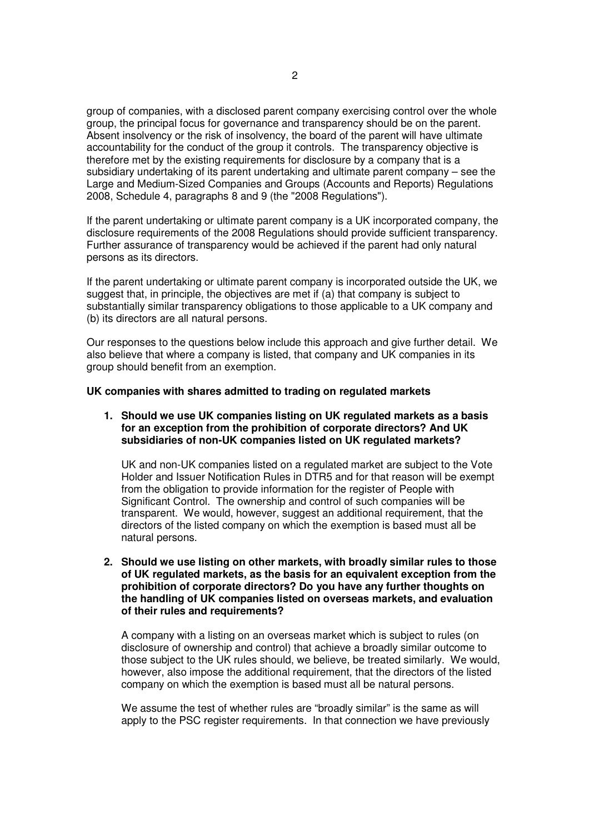group of companies, with a disclosed parent company exercising control over the whole group, the principal focus for governance and transparency should be on the parent. Absent insolvency or the risk of insolvency, the board of the parent will have ultimate accountability for the conduct of the group it controls. The transparency objective is therefore met by the existing requirements for disclosure by a company that is a subsidiary undertaking of its parent undertaking and ultimate parent company – see the Large and Medium-Sized Companies and Groups (Accounts and Reports) Regulations 2008, Schedule 4, paragraphs 8 and 9 (the "2008 Regulations").

If the parent undertaking or ultimate parent company is a UK incorporated company, the disclosure requirements of the 2008 Regulations should provide sufficient transparency. Further assurance of transparency would be achieved if the parent had only natural persons as its directors.

If the parent undertaking or ultimate parent company is incorporated outside the UK, we suggest that, in principle, the objectives are met if (a) that company is subject to substantially similar transparency obligations to those applicable to a UK company and (b) its directors are all natural persons.

Our responses to the questions below include this approach and give further detail. We also believe that where a company is listed, that company and UK companies in its group should benefit from an exemption.

### **UK companies with shares admitted to trading on regulated markets**

**1. Should we use UK companies listing on UK regulated markets as a basis for an exception from the prohibition of corporate directors? And UK subsidiaries of non-UK companies listed on UK regulated markets?**

UK and non-UK companies listed on a regulated market are subject to the Vote Holder and Issuer Notification Rules in DTR5 and for that reason will be exempt from the obligation to provide information for the register of People with Significant Control. The ownership and control of such companies will be transparent. We would, however, suggest an additional requirement, that the directors of the listed company on which the exemption is based must all be natural persons.

**2. Should we use listing on other markets, with broadly similar rules to those of UK regulated markets, as the basis for an equivalent exception from the prohibition of corporate directors? Do you have any further thoughts on the handling of UK companies listed on overseas markets, and evaluation of their rules and requirements?**

A company with a listing on an overseas market which is subject to rules (on disclosure of ownership and control) that achieve a broadly similar outcome to those subject to the UK rules should, we believe, be treated similarly. We would, however, also impose the additional requirement, that the directors of the listed company on which the exemption is based must all be natural persons.

We assume the test of whether rules are "broadly similar" is the same as will apply to the PSC register requirements. In that connection we have previously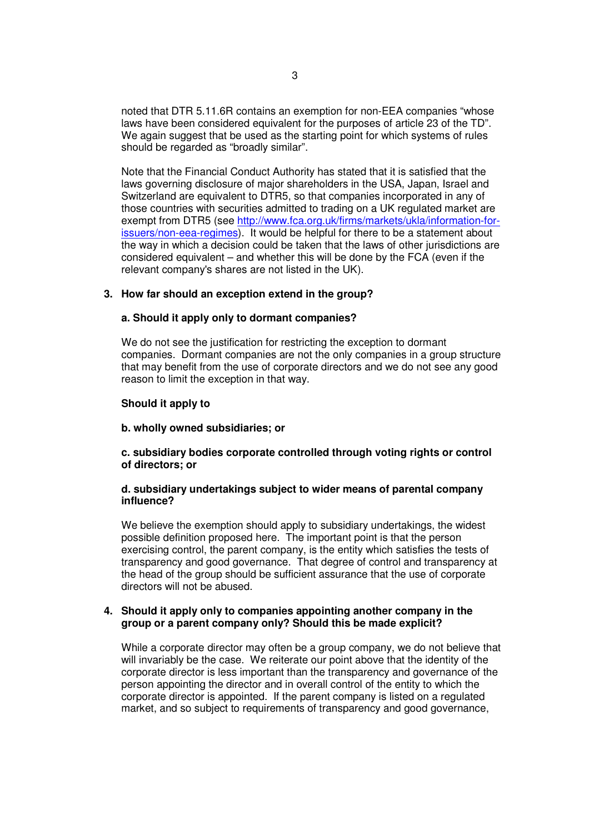noted that DTR 5.11.6R contains an exemption for non-EEA companies "whose laws have been considered equivalent for the purposes of article 23 of the TD". We again suggest that be used as the starting point for which systems of rules should be regarded as "broadly similar".

Note that the Financial Conduct Authority has stated that it is satisfied that the laws governing disclosure of major shareholders in the USA, Japan, Israel and Switzerland are equivalent to DTR5, so that companies incorporated in any of those countries with securities admitted to trading on a UK regulated market are exempt from DTR5 (see http://www.fca.org.uk/firms/markets/ukla/information-forissuers/non-eea-regimes). It would be helpful for there to be a statement about the way in which a decision could be taken that the laws of other jurisdictions are considered equivalent – and whether this will be done by the FCA (even if the relevant company's shares are not listed in the UK).

# **3. How far should an exception extend in the group?**

# **a. Should it apply only to dormant companies?**

We do not see the justification for restricting the exception to dormant companies. Dormant companies are not the only companies in a group structure that may benefit from the use of corporate directors and we do not see any good reason to limit the exception in that way.

# **Should it apply to**

# **b. wholly owned subsidiaries; or**

# **c. subsidiary bodies corporate controlled through voting rights or control of directors; or**

# **d. subsidiary undertakings subject to wider means of parental company influence?**

We believe the exemption should apply to subsidiary undertakings, the widest possible definition proposed here. The important point is that the person exercising control, the parent company, is the entity which satisfies the tests of transparency and good governance. That degree of control and transparency at the head of the group should be sufficient assurance that the use of corporate directors will not be abused.

# **4. Should it apply only to companies appointing another company in the group or a parent company only? Should this be made explicit?**

While a corporate director may often be a group company, we do not believe that will invariably be the case. We reiterate our point above that the identity of the corporate director is less important than the transparency and governance of the person appointing the director and in overall control of the entity to which the corporate director is appointed. If the parent company is listed on a regulated market, and so subject to requirements of transparency and good governance,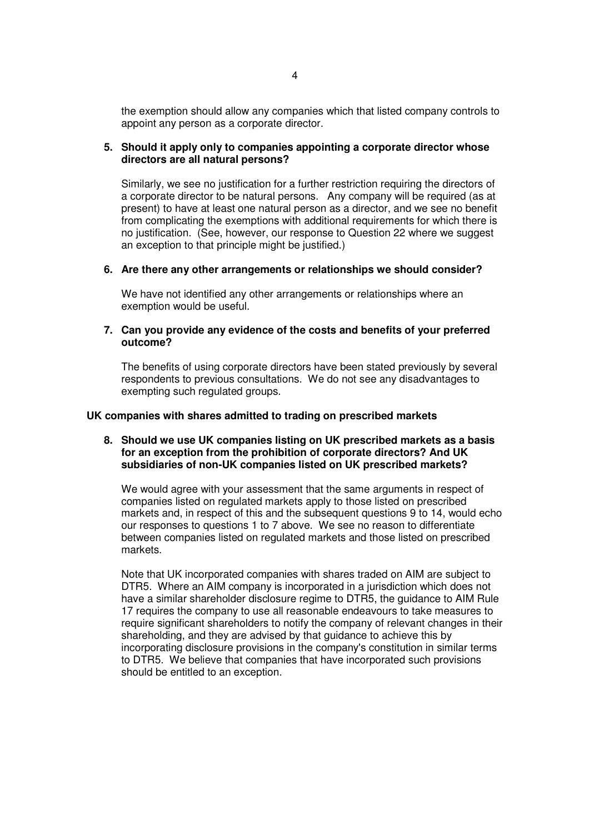the exemption should allow any companies which that listed company controls to appoint any person as a corporate director.

# **5. Should it apply only to companies appointing a corporate director whose directors are all natural persons?**

Similarly, we see no justification for a further restriction requiring the directors of a corporate director to be natural persons. Any company will be required (as at present) to have at least one natural person as a director, and we see no benefit from complicating the exemptions with additional requirements for which there is no justification. (See, however, our response to Question 22 where we suggest an exception to that principle might be justified.)

# **6. Are there any other arrangements or relationships we should consider?**

We have not identified any other arrangements or relationships where an exemption would be useful.

### **7. Can you provide any evidence of the costs and benefits of your preferred outcome?**

The benefits of using corporate directors have been stated previously by several respondents to previous consultations. We do not see any disadvantages to exempting such regulated groups.

### **UK companies with shares admitted to trading on prescribed markets**

### **8. Should we use UK companies listing on UK prescribed markets as a basis for an exception from the prohibition of corporate directors? And UK subsidiaries of non-UK companies listed on UK prescribed markets?**

We would agree with your assessment that the same arguments in respect of companies listed on regulated markets apply to those listed on prescribed markets and, in respect of this and the subsequent questions 9 to 14, would echo our responses to questions 1 to 7 above. We see no reason to differentiate between companies listed on regulated markets and those listed on prescribed markets.

Note that UK incorporated companies with shares traded on AIM are subject to DTR5. Where an AIM company is incorporated in a jurisdiction which does not have a similar shareholder disclosure regime to DTR5, the guidance to AIM Rule 17 requires the company to use all reasonable endeavours to take measures to require significant shareholders to notify the company of relevant changes in their shareholding, and they are advised by that guidance to achieve this by incorporating disclosure provisions in the company's constitution in similar terms to DTR5. We believe that companies that have incorporated such provisions should be entitled to an exception.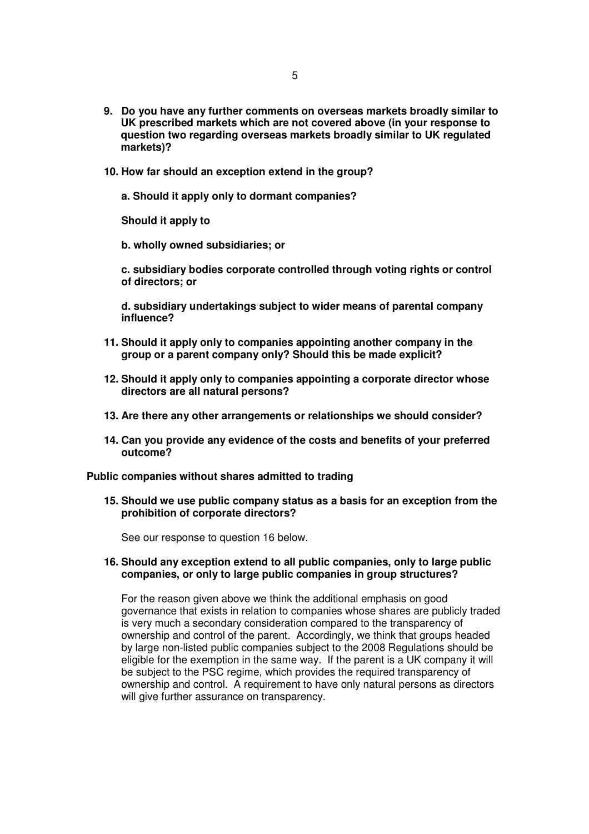- **9. Do you have any further comments on overseas markets broadly similar to UK prescribed markets which are not covered above (in your response to question two regarding overseas markets broadly similar to UK regulated markets)?**
- **10. How far should an exception extend in the group?** 
	- **a. Should it apply only to dormant companies?**

**Should it apply to** 

**b. wholly owned subsidiaries; or** 

**c. subsidiary bodies corporate controlled through voting rights or control of directors; or** 

**d. subsidiary undertakings subject to wider means of parental company influence?**

- **11. Should it apply only to companies appointing another company in the group or a parent company only? Should this be made explicit?**
- **12. Should it apply only to companies appointing a corporate director whose directors are all natural persons?**
- **13. Are there any other arrangements or relationships we should consider?**
- **14. Can you provide any evidence of the costs and benefits of your preferred outcome?**

**Public companies without shares admitted to trading**

**15. Should we use public company status as a basis for an exception from the prohibition of corporate directors?**

See our response to question 16 below.

**16. Should any exception extend to all public companies, only to large public companies, or only to large public companies in group structures?**

For the reason given above we think the additional emphasis on good governance that exists in relation to companies whose shares are publicly traded is very much a secondary consideration compared to the transparency of ownership and control of the parent. Accordingly, we think that groups headed by large non-listed public companies subject to the 2008 Regulations should be eligible for the exemption in the same way. If the parent is a UK company it will be subject to the PSC regime, which provides the required transparency of ownership and control. A requirement to have only natural persons as directors will give further assurance on transparency.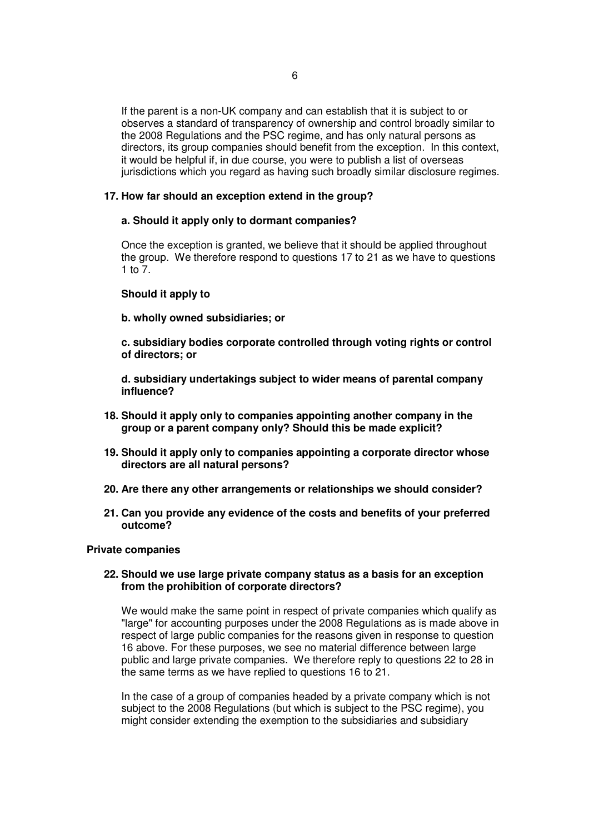If the parent is a non-UK company and can establish that it is subject to or observes a standard of transparency of ownership and control broadly similar to the 2008 Regulations and the PSC regime, and has only natural persons as directors, its group companies should benefit from the exception. In this context, it would be helpful if, in due course, you were to publish a list of overseas jurisdictions which you regard as having such broadly similar disclosure regimes.

# **17. How far should an exception extend in the group?**

# **a. Should it apply only to dormant companies?**

Once the exception is granted, we believe that it should be applied throughout the group. We therefore respond to questions 17 to 21 as we have to questions 1 to 7.

# **Should it apply to**

**b. wholly owned subsidiaries; or** 

**c. subsidiary bodies corporate controlled through voting rights or control of directors; or** 

**d. subsidiary undertakings subject to wider means of parental company influence?** 

- **18. Should it apply only to companies appointing another company in the group or a parent company only? Should this be made explicit?**
- **19. Should it apply only to companies appointing a corporate director whose directors are all natural persons?**
- **20. Are there any other arrangements or relationships we should consider?**
- **21. Can you provide any evidence of the costs and benefits of your preferred outcome?**

# **Private companies**

# **22. Should we use large private company status as a basis for an exception from the prohibition of corporate directors?**

We would make the same point in respect of private companies which qualify as "large" for accounting purposes under the 2008 Regulations as is made above in respect of large public companies for the reasons given in response to question 16 above. For these purposes, we see no material difference between large public and large private companies. We therefore reply to questions 22 to 28 in the same terms as we have replied to questions 16 to 21.

In the case of a group of companies headed by a private company which is not subject to the 2008 Regulations (but which is subject to the PSC regime), you might consider extending the exemption to the subsidiaries and subsidiary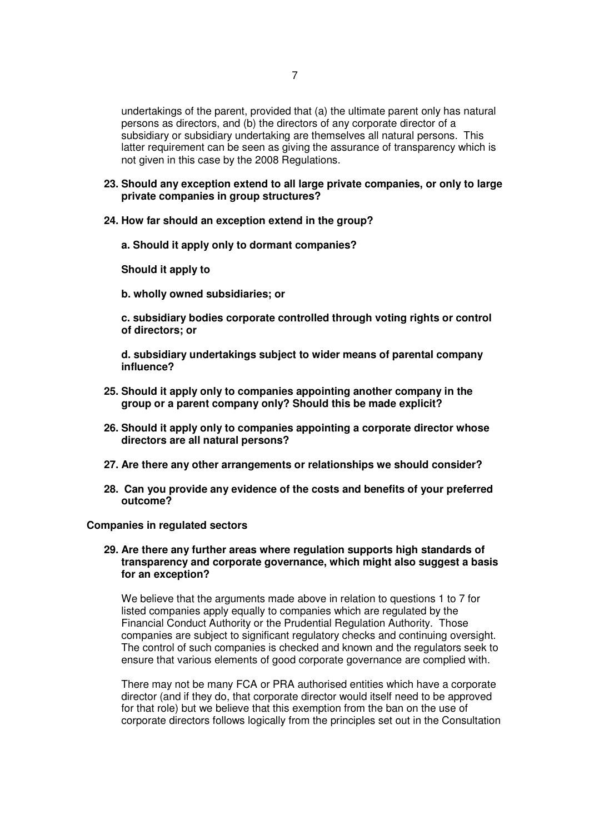undertakings of the parent, provided that (a) the ultimate parent only has natural persons as directors, and (b) the directors of any corporate director of a subsidiary or subsidiary undertaking are themselves all natural persons. This latter requirement can be seen as giving the assurance of transparency which is not given in this case by the 2008 Regulations.

- **23. Should any exception extend to all large private companies, or only to large private companies in group structures?**
- **24. How far should an exception extend in the group?** 
	- **a. Should it apply only to dormant companies?**

**Should it apply to** 

**b. wholly owned subsidiaries; or** 

**c. subsidiary bodies corporate controlled through voting rights or control of directors; or** 

**d. subsidiary undertakings subject to wider means of parental company influence?** 

- **25. Should it apply only to companies appointing another company in the group or a parent company only? Should this be made explicit?**
- **26. Should it apply only to companies appointing a corporate director whose directors are all natural persons?**
- **27. Are there any other arrangements or relationships we should consider?**
- **28. Can you provide any evidence of the costs and benefits of your preferred outcome?**

#### **Companies in regulated sectors**

### **29. Are there any further areas where regulation supports high standards of transparency and corporate governance, which might also suggest a basis for an exception?**

We believe that the arguments made above in relation to questions 1 to 7 for listed companies apply equally to companies which are regulated by the Financial Conduct Authority or the Prudential Regulation Authority. Those companies are subject to significant regulatory checks and continuing oversight. The control of such companies is checked and known and the regulators seek to ensure that various elements of good corporate governance are complied with.

There may not be many FCA or PRA authorised entities which have a corporate director (and if they do, that corporate director would itself need to be approved for that role) but we believe that this exemption from the ban on the use of corporate directors follows logically from the principles set out in the Consultation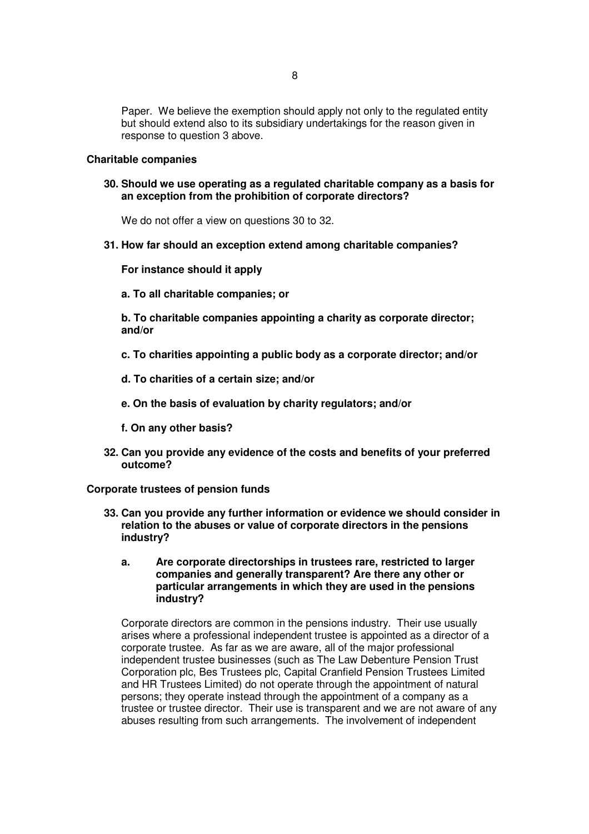Paper. We believe the exemption should apply not only to the regulated entity but should extend also to its subsidiary undertakings for the reason given in response to question 3 above.

### **Charitable companies**

**30. Should we use operating as a regulated charitable company as a basis for an exception from the prohibition of corporate directors?**

We do not offer a view on questions 30 to 32.

### **31. How far should an exception extend among charitable companies?**

### **For instance should it apply**

**a. To all charitable companies; or** 

**b. To charitable companies appointing a charity as corporate director; and/or** 

- **c. To charities appointing a public body as a corporate director; and/or**
- **d. To charities of a certain size; and/or**
- **e. On the basis of evaluation by charity regulators; and/or**
- **f. On any other basis?**
- **32. Can you provide any evidence of the costs and benefits of your preferred outcome?**

**Corporate trustees of pension funds** 

- **33. Can you provide any further information or evidence we should consider in relation to the abuses or value of corporate directors in the pensions industry?**
	- **a. Are corporate directorships in trustees rare, restricted to larger companies and generally transparent? Are there any other or particular arrangements in which they are used in the pensions industry?**

Corporate directors are common in the pensions industry. Their use usually arises where a professional independent trustee is appointed as a director of a corporate trustee. As far as we are aware, all of the major professional independent trustee businesses (such as The Law Debenture Pension Trust Corporation plc, Bes Trustees plc, Capital Cranfield Pension Trustees Limited and HR Trustees Limited) do not operate through the appointment of natural persons; they operate instead through the appointment of a company as a trustee or trustee director. Their use is transparent and we are not aware of any abuses resulting from such arrangements. The involvement of independent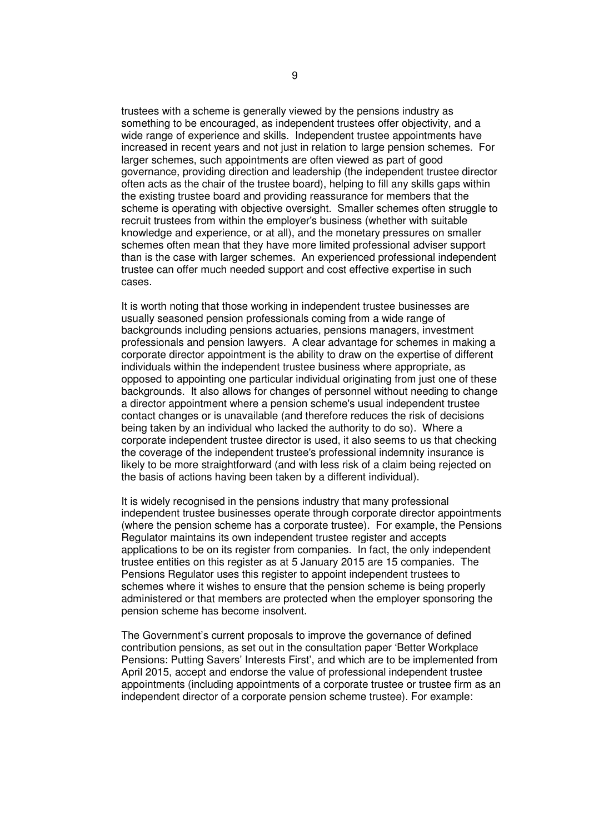trustees with a scheme is generally viewed by the pensions industry as something to be encouraged, as independent trustees offer objectivity, and a wide range of experience and skills. Independent trustee appointments have increased in recent years and not just in relation to large pension schemes. For larger schemes, such appointments are often viewed as part of good governance, providing direction and leadership (the independent trustee director often acts as the chair of the trustee board), helping to fill any skills gaps within the existing trustee board and providing reassurance for members that the scheme is operating with objective oversight. Smaller schemes often struggle to recruit trustees from within the employer's business (whether with suitable knowledge and experience, or at all), and the monetary pressures on smaller schemes often mean that they have more limited professional adviser support than is the case with larger schemes. An experienced professional independent trustee can offer much needed support and cost effective expertise in such cases.

It is worth noting that those working in independent trustee businesses are usually seasoned pension professionals coming from a wide range of backgrounds including pensions actuaries, pensions managers, investment professionals and pension lawyers. A clear advantage for schemes in making a corporate director appointment is the ability to draw on the expertise of different individuals within the independent trustee business where appropriate, as opposed to appointing one particular individual originating from just one of these backgrounds. It also allows for changes of personnel without needing to change a director appointment where a pension scheme's usual independent trustee contact changes or is unavailable (and therefore reduces the risk of decisions being taken by an individual who lacked the authority to do so). Where a corporate independent trustee director is used, it also seems to us that checking the coverage of the independent trustee's professional indemnity insurance is likely to be more straightforward (and with less risk of a claim being rejected on the basis of actions having been taken by a different individual).

It is widely recognised in the pensions industry that many professional independent trustee businesses operate through corporate director appointments (where the pension scheme has a corporate trustee). For example, the Pensions Regulator maintains its own independent trustee register and accepts applications to be on its register from companies. In fact, the only independent trustee entities on this register as at 5 January 2015 are 15 companies. The Pensions Regulator uses this register to appoint independent trustees to schemes where it wishes to ensure that the pension scheme is being properly administered or that members are protected when the employer sponsoring the pension scheme has become insolvent.

The Government's current proposals to improve the governance of defined contribution pensions, as set out in the consultation paper 'Better Workplace Pensions: Putting Savers' Interests First', and which are to be implemented from April 2015, accept and endorse the value of professional independent trustee appointments (including appointments of a corporate trustee or trustee firm as an independent director of a corporate pension scheme trustee). For example: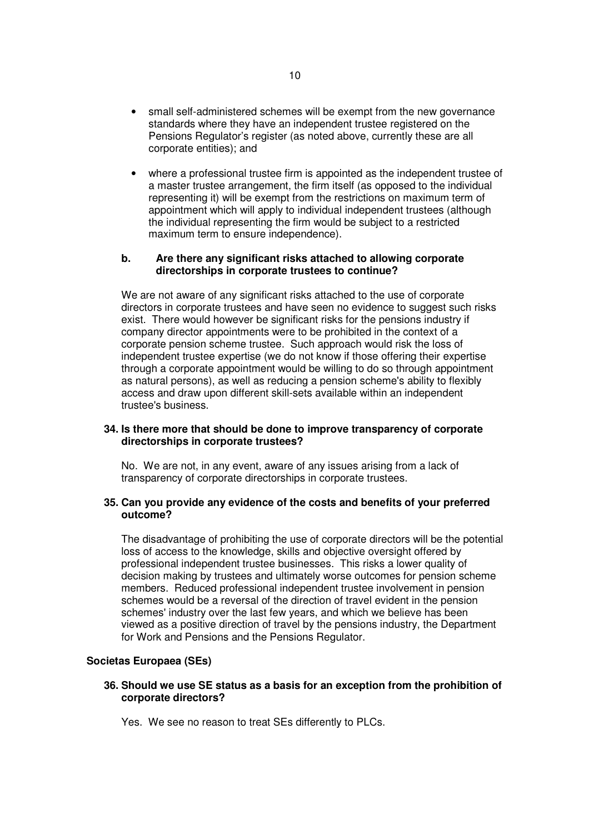- small self-administered schemes will be exempt from the new governance standards where they have an independent trustee registered on the Pensions Regulator's register (as noted above, currently these are all corporate entities); and
- where a professional trustee firm is appointed as the independent trustee of a master trustee arrangement, the firm itself (as opposed to the individual representing it) will be exempt from the restrictions on maximum term of appointment which will apply to individual independent trustees (although the individual representing the firm would be subject to a restricted maximum term to ensure independence).

### **b. Are there any significant risks attached to allowing corporate directorships in corporate trustees to continue?**

We are not aware of any significant risks attached to the use of corporate directors in corporate trustees and have seen no evidence to suggest such risks exist. There would however be significant risks for the pensions industry if company director appointments were to be prohibited in the context of a corporate pension scheme trustee. Such approach would risk the loss of independent trustee expertise (we do not know if those offering their expertise through a corporate appointment would be willing to do so through appointment as natural persons), as well as reducing a pension scheme's ability to flexibly access and draw upon different skill-sets available within an independent trustee's business.

# **34. Is there more that should be done to improve transparency of corporate directorships in corporate trustees?**

No. We are not, in any event, aware of any issues arising from a lack of transparency of corporate directorships in corporate trustees.

# **35. Can you provide any evidence of the costs and benefits of your preferred outcome?**

The disadvantage of prohibiting the use of corporate directors will be the potential loss of access to the knowledge, skills and objective oversight offered by professional independent trustee businesses. This risks a lower quality of decision making by trustees and ultimately worse outcomes for pension scheme members. Reduced professional independent trustee involvement in pension schemes would be a reversal of the direction of travel evident in the pension schemes' industry over the last few years, and which we believe has been viewed as a positive direction of travel by the pensions industry, the Department for Work and Pensions and the Pensions Regulator.

# **Societas Europaea (SEs)**

# **36. Should we use SE status as a basis for an exception from the prohibition of corporate directors?**

Yes. We see no reason to treat SEs differently to PLCs.